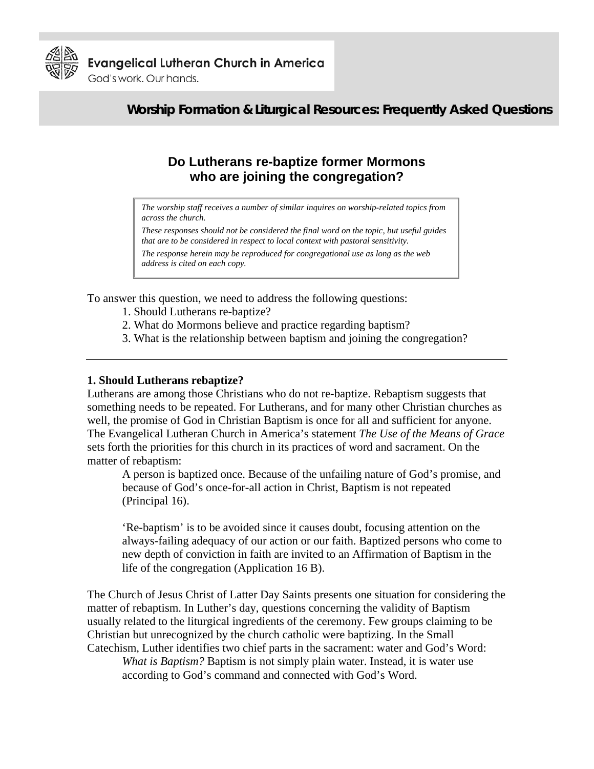

God's work, Our hands.

# **Worship Formation & Liturgical Resources: Frequently Asked Questions**

## **Do Lutherans re-baptize former Mormons who are joining the congregation?**

*The worship staff receives a number of similar inquires on worship-related topics from across the church.* 

*These responses should not be considered the final word on the topic, but useful guides that are to be considered in respect to local context with pastoral sensitivity.* 

*The response herein may be reproduced for congregational use as long as the web address is cited on each copy.* 

To answer this question, we need to address the following questions:

- 1. Should Lutherans re-baptize?
- 2. What do Mormons believe and practice regarding baptism?
- 3. What is the relationship between baptism and joining the congregation?

#### **1. Should Lutherans rebaptize?**

Lutherans are among those Christians who do not re-baptize. Rebaptism suggests that something needs to be repeated. For Lutherans, and for many other Christian churches as well, the promise of God in Christian Baptism is once for all and sufficient for anyone. The Evangelical Lutheran Church in America's statement *The Use of the Means of Grace* sets forth the priorities for this church in its practices of word and sacrament. On the matter of rebaptism:

A person is baptized once. Because of the unfailing nature of God's promise, and because of God's once-for-all action in Christ, Baptism is not repeated (Principal 16).

'Re-baptism' is to be avoided since it causes doubt, focusing attention on the always-failing adequacy of our action or our faith. Baptized persons who come to new depth of conviction in faith are invited to an Affirmation of Baptism in the life of the congregation (Application 16 B).

The Church of Jesus Christ of Latter Day Saints presents one situation for considering the matter of rebaptism. In Luther's day, questions concerning the validity of Baptism usually related to the liturgical ingredients of the ceremony. Few groups claiming to be Christian but unrecognized by the church catholic were baptizing. In the Small Catechism, Luther identifies two chief parts in the sacrament: water and God's Word:

*What is Baptism?* Baptism is not simply plain water. Instead, it is water use according to God's command and connected with God's Word.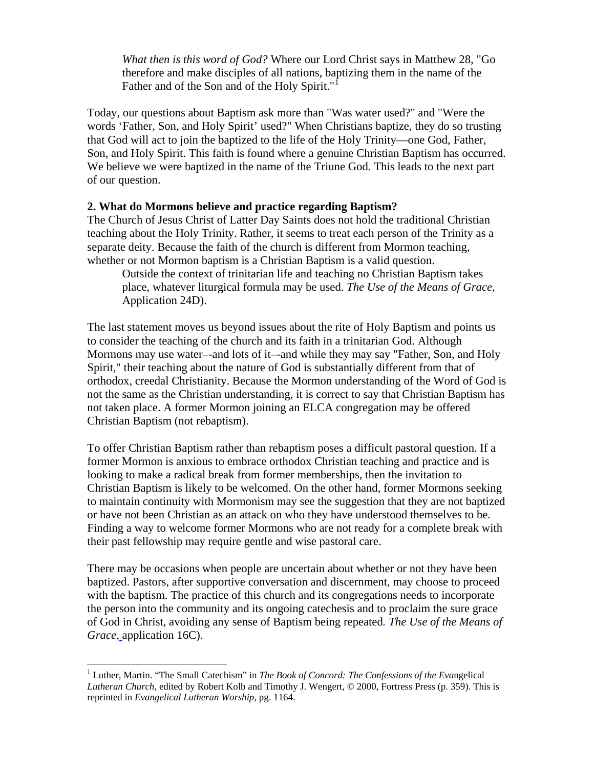*What then is this word of God?* Where our Lord Christ says in Matthew 28, "Go therefore and make disciples of all nations, baptizing them in the name of the Father and of the Son and of the Holy Spirit."<sup>[1](#page-1-0)</sup>

Today, our questions about Baptism ask more than "Was water used?" and "Were the words 'Father, Son, and Holy Spirit' used?" When Christians baptize, they do so trusting that God will act to join the baptized to the life of the Holy Trinity—one God, Father, Son, and Holy Spirit. This faith is found where a genuine Christian Baptism has occurred. We believe we were baptized in the name of the Triune God. This leads to the next part of our question.

### **2. What do Mormons believe and practice regarding Baptism?**

The Church of Jesus Christ of Latter Day Saints does not hold the traditional Christian teaching about the Holy Trinity. Rather, it seems to treat each person of the Trinity as a separate deity. Because the faith of the church is different from Mormon teaching, whether or not Mormon baptism is a Christian Baptism is a valid question.

Outside the context of trinitarian life and teaching no Christian Baptism takes place, whatever liturgical formula may be used. *The Use of the Means of Grace*, Application 24D).

The last statement moves us beyond issues about the rite of Holy Baptism and points us to consider the teaching of the church and its faith in a trinitarian God. Although Mormons may use water–-and lots of it–-and while they may say "Father, Son, and Holy Spirit," their teaching about the nature of God is substantially different from that of orthodox, creedal Christianity. Because the Mormon understanding of the Word of God is not the same as the Christian understanding, it is correct to say that Christian Baptism has not taken place. A former Mormon joining an ELCA congregation may be offered Christian Baptism (not rebaptism).

To offer Christian Baptism rather than rebaptism poses a difficult pastoral question. If a former Mormon is anxious to embrace orthodox Christian teaching and practice and is looking to make a radical break from former memberships, then the invitation to Christian Baptism is likely to be welcomed. On the other hand, former Mormons seeking to maintain continuity with Mormonism may see the suggestion that they are not baptized or have not been Christian as an attack on who they have understood themselves to be. Finding a way to welcome former Mormons who are not ready for a complete break with their past fellowship may require gentle and wise pastoral care.

There may be occasions when people are uncertain about whether or not they have been baptized. Pastors, after supportive conversation and discernment, may choose to proceed with the baptism. The practice of this church and its congregations needs to incorporate the person into the community and its ongoing catechesis and to proclaim the sure grace of God in Christ, avoiding any sense of Baptism being repeated*. The Use of the Means of Grace*, application 16C).

<span id="page-1-0"></span> <sup>1</sup> Luther, Martin. "The Small Catechism" in *The Book of Concord: The Confessions of the Eva*ngelical *Lutheran Church*, edited by Robert Kolb and Timothy J. Wengert, © 2000, Fortress Press (p. 359). This is reprinted in *Evangelical Lutheran Worship*, pg. 1164.